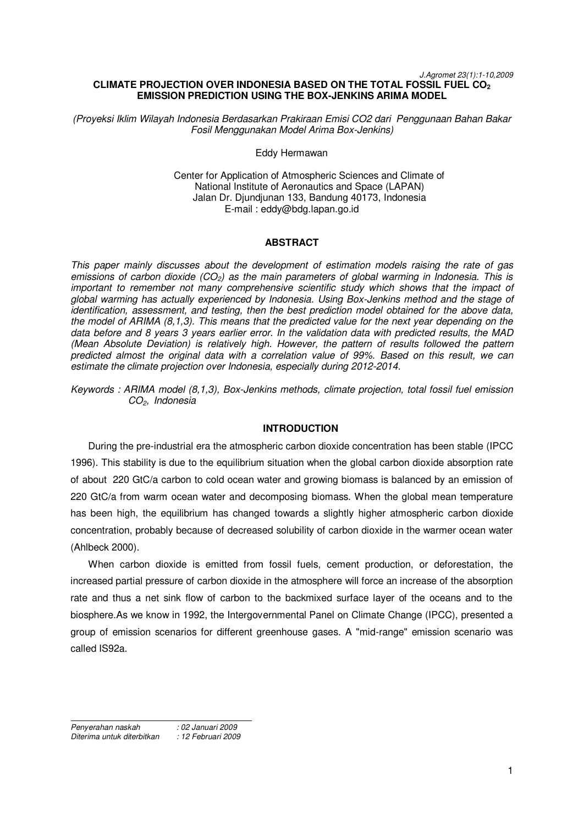#### *J.Agromet 23(1):1-10,2009*  **CLIMATE PROJECTION OVER INDONESIA BASED ON THE TOTAL FOSSIL FUEL CO<sup>2</sup> EMISSION PREDICTION USING THE BOX-JENKINS ARIMA MODEL**

*(Proyeksi Iklim Wilayah Indonesia Berdasarkan Prakiraan Emisi CO2 dari Penggunaan Bahan Bakar Fosil Menggunakan Model Arima Box-Jenkins)* 

#### Eddy Hermawan

Center for Application of Atmospheric Sciences and Climate of National Institute of Aeronautics and Space (LAPAN) Jalan Dr. Djundjunan 133, Bandung 40173, Indonesia E-mail : eddy@bdg.lapan.go.id

## **ABSTRACT**

*This paper mainly discusses about the development of estimation models raising the rate of gas emissions of carbon dioxide (CO2) as the main parameters of global warming in Indonesia. This is important to remember not many comprehensive scientific study which shows that the impact of global warming has actually experienced by Indonesia. Using Box-Jenkins method and the stage of identification, assessment, and testing, then the best prediction model obtained for the above data, the model of ARIMA (8,1,3). This means that the predicted value for the next year depending on the data before and 8 years 3 years earlier error. In the validation data with predicted results, the MAD (Mean Absolute Deviation) is relatively high. However, the pattern of results followed the pattern predicted almost the original data with a correlation value of 99%. Based on this result, we can estimate the climate projection over Indonesia, especially during 2012-2014.* 

*Keywords : ARIMA model (8,1,3), Box-Jenkins methods, climate projection, total fossil fuel emission CO2, Indonesia* 

# **INTRODUCTION**

During the pre-industrial era the atmospheric carbon dioxide concentration has been stable (IPCC 1996). This stability is due to the equilibrium situation when the global carbon dioxide absorption rate of about 220 GtC/a carbon to cold ocean water and growing biomass is balanced by an emission of 220 GtC/a from warm ocean water and decomposing biomass. When the global mean temperature has been high, the equilibrium has changed towards a slightly higher atmospheric carbon dioxide concentration, probably because of decreased solubility of carbon dioxide in the warmer ocean water (Ahlbeck 2000).

When carbon dioxide is emitted from fossil fuels, cement production, or deforestation, the increased partial pressure of carbon dioxide in the atmosphere will force an increase of the absorption rate and thus a net sink flow of carbon to the backmixed surface layer of the oceans and to the biosphere.As we know in 1992, the Intergovernmental Panel on Climate Change (IPCC), presented a group of emission scenarios for different greenhouse gases. A "mid-range" emission scenario was called IS92a.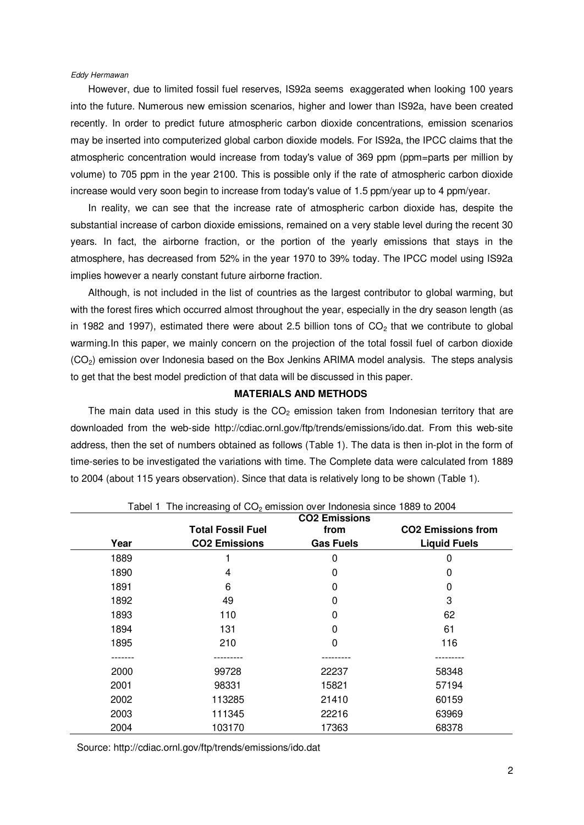### *Eddy Hermawan*

However, due to limited fossil fuel reserves, IS92a seems exaggerated when looking 100 years into the future. Numerous new emission scenarios, higher and lower than IS92a, have been created recently. In order to predict future atmospheric carbon dioxide concentrations, emission scenarios may be inserted into computerized global carbon dioxide models. For IS92a, the IPCC claims that the atmospheric concentration would increase from today's value of 369 ppm (ppm=parts per million by volume) to 705 ppm in the year 2100. This is possible only if the rate of atmospheric carbon dioxide increase would very soon begin to increase from today's value of 1.5 ppm/year up to 4 ppm/year.

In reality, we can see that the increase rate of atmospheric carbon dioxide has, despite the substantial increase of carbon dioxide emissions, remained on a very stable level during the recent 30 years. In fact, the airborne fraction, or the portion of the yearly emissions that stays in the atmosphere, has decreased from 52% in the year 1970 to 39% today. The IPCC model using IS92a implies however a nearly constant future airborne fraction.

Although, is not included in the list of countries as the largest contributor to global warming, but with the forest fires which occurred almost throughout the year, especially in the dry season length (as in 1982 and 1997), estimated there were about 2.5 billion tons of  $CO<sub>2</sub>$  that we contribute to global warming.In this paper, we mainly concern on the projection of the total fossil fuel of carbon dioxide  $(CO<sub>2</sub>)$  emission over Indonesia based on the Box Jenkins ARIMA model analysis. The steps analysis to get that the best model prediction of that data will be discussed in this paper.

# **MATERIALS AND METHODS**

The main data used in this study is the  $CO<sub>2</sub>$  emission taken from Indonesian territory that are downloaded from the web-side http://cdiac.ornl.gov/ftp/trends/emissions/ido.dat. From this web-site address, then the set of numbers obtained as follows (Table 1). The data is then in-plot in the form of time-series to be investigated the variations with time. The Complete data were calculated from 1889 to 2004 (about 115 years observation). Since that data is relatively long to be shown (Table 1).

|      |                          | <b>CO2 Emissions</b> |                           |
|------|--------------------------|----------------------|---------------------------|
|      | <b>Total Fossil Fuel</b> | from                 | <b>CO2 Emissions from</b> |
| Year | <b>CO2 Emissions</b>     | <b>Gas Fuels</b>     | <b>Liquid Fuels</b>       |
| 1889 |                          | 0                    | 0                         |
| 1890 | 4                        | 0                    | 0                         |
| 1891 | 6                        | $\mathbf{0}$         | 0                         |
| 1892 | 49                       | 0                    | 3                         |
| 1893 | 110                      | 0                    | 62                        |
| 1894 | 131                      | 0                    | 61                        |
| 1895 | 210                      | 0                    | 116                       |
|      |                          |                      |                           |
| 2000 | 99728                    | 22237                | 58348                     |
| 2001 | 98331                    | 15821                | 57194                     |
| 2002 | 113285                   | 21410                | 60159                     |
| 2003 | 111345                   | 22216                | 63969                     |
| 2004 | 103170                   | 17363                | 68378                     |

Tabel 1 The increasing of  $CO$  emission over Indonesia since 1880 to 2004

Source: http://cdiac.ornl.gov/ftp/trends/emissions/ido.dat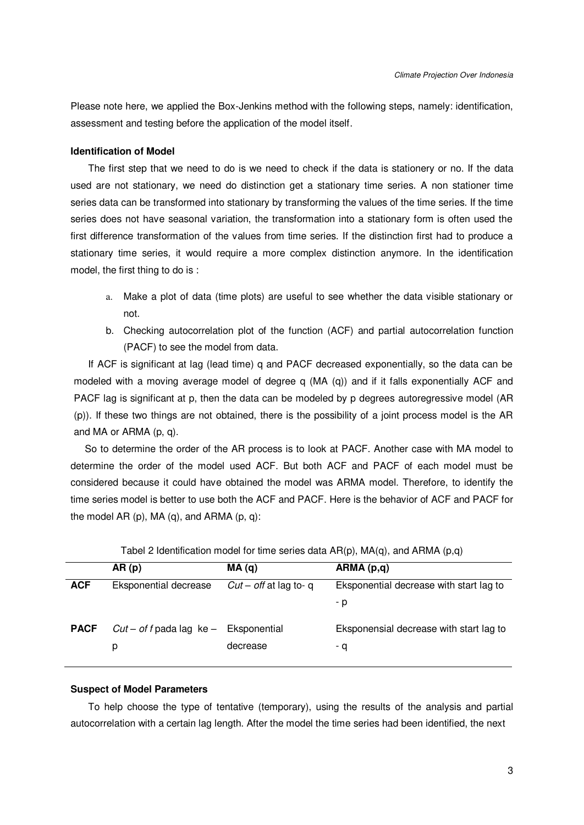Please note here, we applied the Box-Jenkins method with the following steps, namely: identification, assessment and testing before the application of the model itself.

### **Identification of Model**

The first step that we need to do is we need to check if the data is stationery or no. If the data used are not stationary, we need do distinction get a stationary time series. A non stationer time series data can be transformed into stationary by transforming the values of the time series. If the time series does not have seasonal variation, the transformation into a stationary form is often used the first difference transformation of the values from time series. If the distinction first had to produce a stationary time series, it would require a more complex distinction anymore. In the identification model, the first thing to do is :

- a. Make a plot of data (time plots) are useful to see whether the data visible stationary or not.
- b. Checking autocorrelation plot of the function (ACF) and partial autocorrelation function (PACF) to see the model from data.

If ACF is significant at lag (lead time) q and PACF decreased exponentially, so the data can be modeled with a moving average model of degree q (MA (q)) and if it falls exponentially ACF and PACF lag is significant at p, then the data can be modeled by p degrees autoregressive model (AR (p)). If these two things are not obtained, there is the possibility of a joint process model is the AR and MA or ARMA (p, q).

So to determine the order of the AR process is to look at PACF. Another case with MA model to determine the order of the model used ACF. But both ACF and PACF of each model must be considered because it could have obtained the model was ARMA model. Therefore, to identify the time series model is better to use both the ACF and PACF. Here is the behavior of ACF and PACF for the model AR  $(p)$ , MA  $(q)$ , and ARMA  $(p, q)$ :

|             | AR(p)                      | MA(q)                   | ARMA (p,q)                              |
|-------------|----------------------------|-------------------------|-----------------------------------------|
| <b>ACF</b>  | Eksponential decrease      | $Cut$ – off at lag to-q | Eksponential decrease with start lag to |
|             |                            |                         | - p                                     |
| <b>PACF</b> | $Cut$ – of f pada lag ke – | Eksponential            | Eksponensial decrease with start lag to |
|             | р                          | decrease                | - q                                     |
|             |                            |                         |                                         |

| Tabel 2 Identification model for time series data $AR(p)$ , $MA(q)$ , and $ARMA$ $(p,q)$ |  |  |  |  |
|------------------------------------------------------------------------------------------|--|--|--|--|
|------------------------------------------------------------------------------------------|--|--|--|--|

#### **Suspect of Model Parameters**

 To help choose the type of tentative (temporary), using the results of the analysis and partial autocorrelation with a certain lag length. After the model the time series had been identified, the next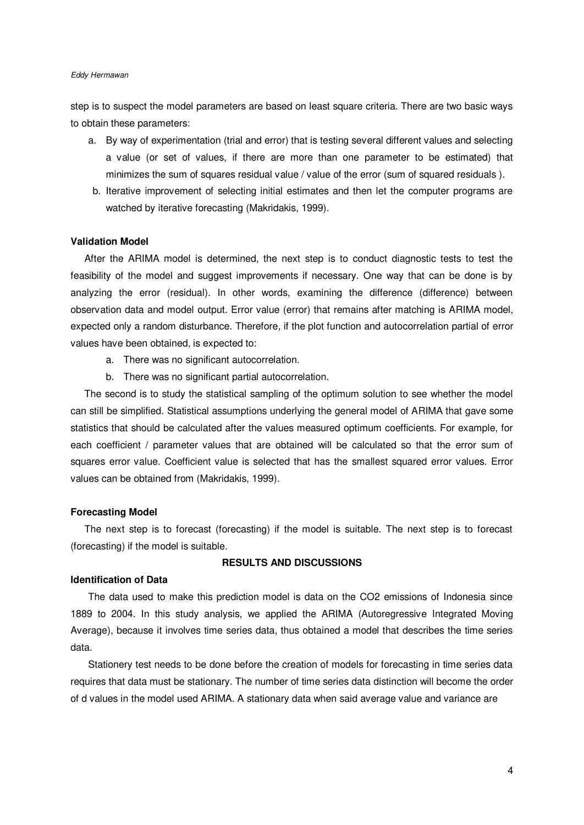#### *Eddy Hermawan*

step is to suspect the model parameters are based on least square criteria. There are two basic ways to obtain these parameters:

- a. By way of experimentation (trial and error) that is testing several different values and selecting a value (or set of values, if there are more than one parameter to be estimated) that minimizes the sum of squares residual value / value of the error (sum of squared residuals ).
- b. Iterative improvement of selecting initial estimates and then let the computer programs are watched by iterative forecasting (Makridakis, 1999).

#### **Validation Model**

 After the ARIMA model is determined, the next step is to conduct diagnostic tests to test the feasibility of the model and suggest improvements if necessary. One way that can be done is by analyzing the error (residual). In other words, examining the difference (difference) between observation data and model output. Error value (error) that remains after matching is ARIMA model, expected only a random disturbance. Therefore, if the plot function and autocorrelation partial of error values have been obtained, is expected to:

- a. There was no significant autocorrelation.
- b. There was no significant partial autocorrelation.

 The second is to study the statistical sampling of the optimum solution to see whether the model can still be simplified. Statistical assumptions underlying the general model of ARIMA that gave some statistics that should be calculated after the values measured optimum coefficients. For example, for each coefficient / parameter values that are obtained will be calculated so that the error sum of squares error value. Coefficient value is selected that has the smallest squared error values. Error values can be obtained from (Makridakis, 1999).

### **Forecasting Model**

 The next step is to forecast (forecasting) if the model is suitable. The next step is to forecast (forecasting) if the model is suitable.

# **RESULTS AND DISCUSSIONS**

#### **Identification of Data**

The data used to make this prediction model is data on the CO2 emissions of Indonesia since 1889 to 2004. In this study analysis, we applied the ARIMA (Autoregressive Integrated Moving Average), because it involves time series data, thus obtained a model that describes the time series data.

Stationery test needs to be done before the creation of models for forecasting in time series data requires that data must be stationary. The number of time series data distinction will become the order of d values in the model used ARIMA. A stationary data when said average value and variance are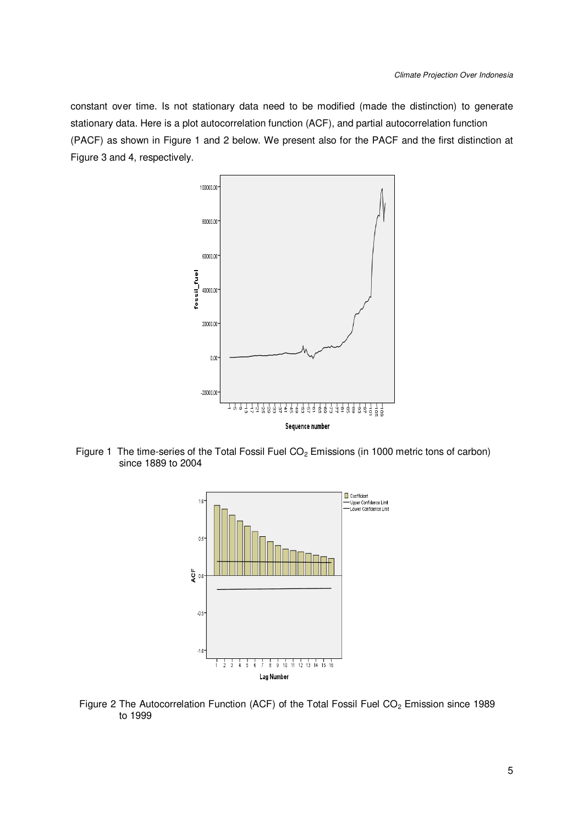constant over time. Is not stationary data need to be modified (made the distinction) to generate stationary data. Here is a plot autocorrelation function (ACF), and partial autocorrelation function (PACF) as shown in Figure 1 and 2 below. We present also for the PACF and the first distinction at Figure 3 and 4, respectively.



Figure 1 The time-series of the Total Fossil Fuel CO<sub>2</sub> Emissions (in 1000 metric tons of carbon) since 1889 to 2004



Figure 2 The Autocorrelation Function (ACF) of the Total Fossil Fuel CO<sub>2</sub> Emission since 1989 to 1999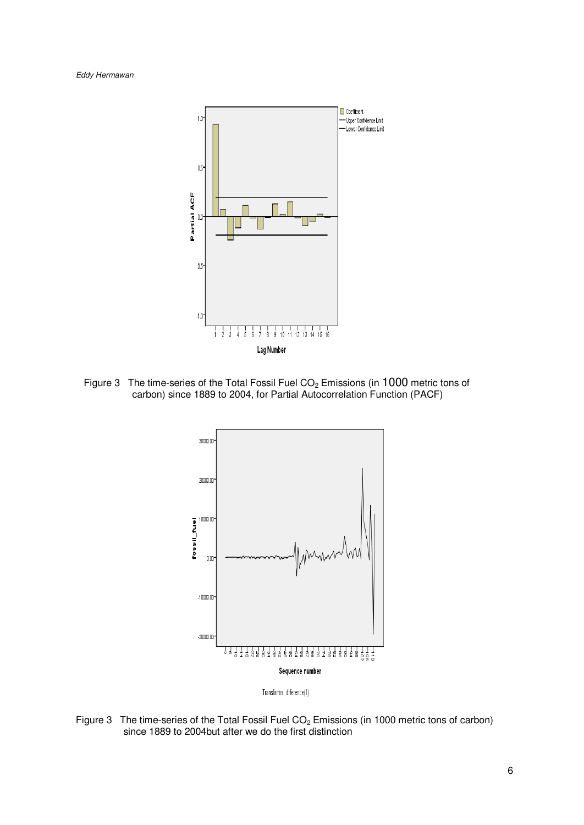*Eddy Hermawan* 



Figure 3 The time-series of the Total Fossil Fuel CO<sub>2</sub> Emissions (in 1000 metric tons of carbon) since 1889 to 2004, for Partial Autocorrelation Function (PACF)



Figure 3 The time-series of the Total Fossil Fuel CO<sub>2</sub> Emissions (in 1000 metric tons of carbon) since 1889 to 2004but after we do the first distinction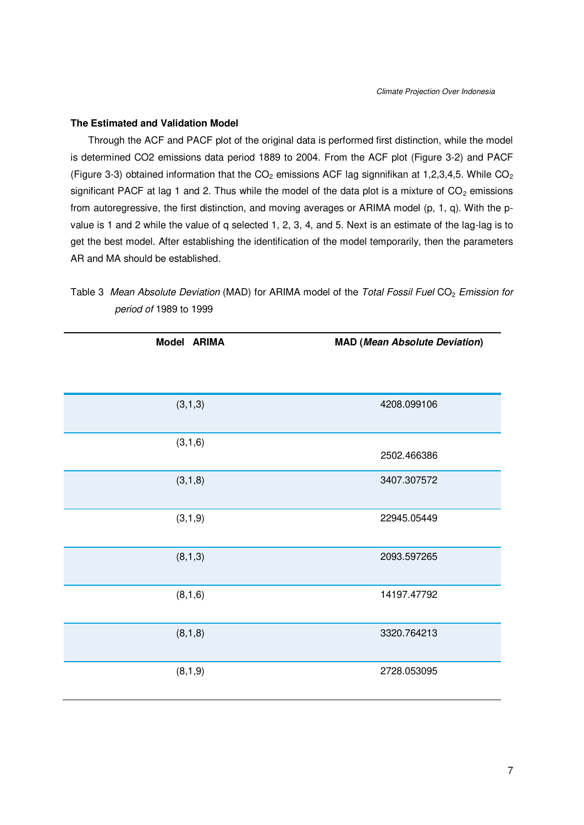# **The Estimated and Validation Model**

Through the ACF and PACF plot of the original data is performed first distinction, while the model is determined CO2 emissions data period 1889 to 2004. From the ACF plot (Figure 3-2) and PACF (Figure 3-3) obtained information that the  $CO<sub>2</sub>$  emissions ACF lag signnifikan at 1,2,3,4,5. While  $CO<sub>2</sub>$ significant PACF at lag 1 and 2. Thus while the model of the data plot is a mixture of  $CO<sub>2</sub>$  emissions from autoregressive, the first distinction, and moving averages or ARIMA model (p, 1, q). With the pvalue is 1 and 2 while the value of q selected 1, 2, 3, 4, and 5. Next is an estimate of the lag-lag is to get the best model. After establishing the identification of the model temporarily, then the parameters AR and MA should be established.

| Model ARIMA | <b>MAD (Mean Absolute Deviation)</b> |
|-------------|--------------------------------------|
|             |                                      |
| (3, 1, 3)   | 4208.099106                          |
| (3,1,6)     | 2502.466386                          |
| (3,1,8)     | 3407.307572                          |
| (3,1,9)     | 22945.05449                          |
| (8, 1, 3)   | 2093.597265                          |
| (8, 1, 6)   | 14197.47792                          |
| (8, 1, 8)   | 3320.764213                          |
| (8, 1, 9)   | 2728.053095                          |

Table 3 Mean Absolute Deviation (MAD) for ARIMA model of the *Total Fossil Fuel CO<sub>2</sub> Emission for period of* 1989 to 1999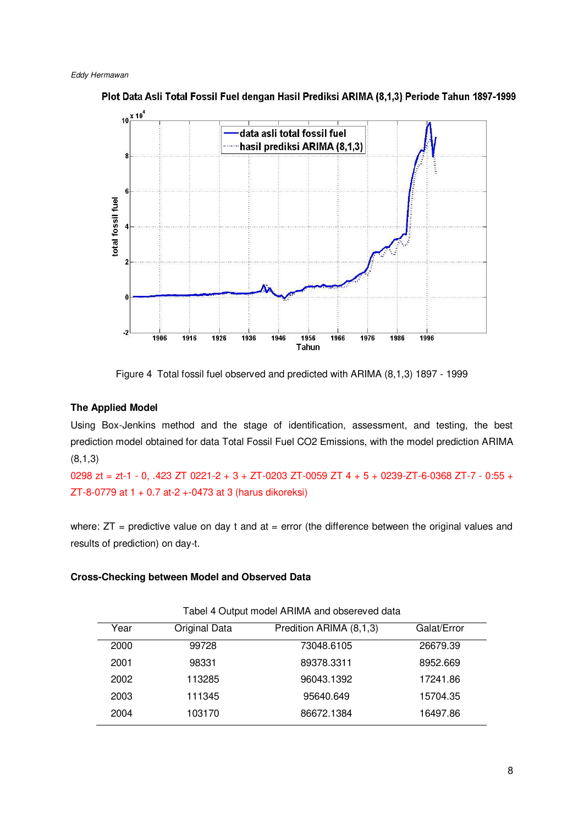

Plot Data Asli Total Fossil Fuel dengan Hasil Prediksi ARIMA (8,1,3) Periode Tahun 1897-1999

Figure 4 Total fossil fuel observed and predicted with ARIMA (8,1,3) 1897 - 1999

# **The Applied Model**

Using Box-Jenkins method and the stage of identification, assessment, and testing, the best prediction model obtained for data Total Fossil Fuel CO2 Emissions, with the model prediction ARIMA (8,1,3)

0298 zt = zt-1 - 0, .423 ZT 0221-2 + 3 + ZT-0203 ZT-0059 ZT 4 + 5 + 0239-ZT-6-0368 ZT-7 - 0:55 + ZT-8-0779 at 1 + 0.7 at-2 +-0473 at 3 (harus dikoreksi)

where:  $ZT$  = predictive value on day t and at = error (the difference between the original values and results of prediction) on day-t.

# **Cross-Checking between Model and Observed Data**

| Year | Original Data | Predition ARIMA (8,1,3) | Galat/Error |
|------|---------------|-------------------------|-------------|
| 2000 | 99728         | 73048.6105              | 26679.39    |
| 2001 | 98331         | 89378.3311              | 8952.669    |
| 2002 | 113285        | 96043.1392              | 17241.86    |
| 2003 | 111345        | 95640.649               | 15704.35    |
| 2004 | 103170        | 86672.1384              | 16497.86    |
|      |               |                         |             |

Tabel 4 Output model ARIMA and obsereved data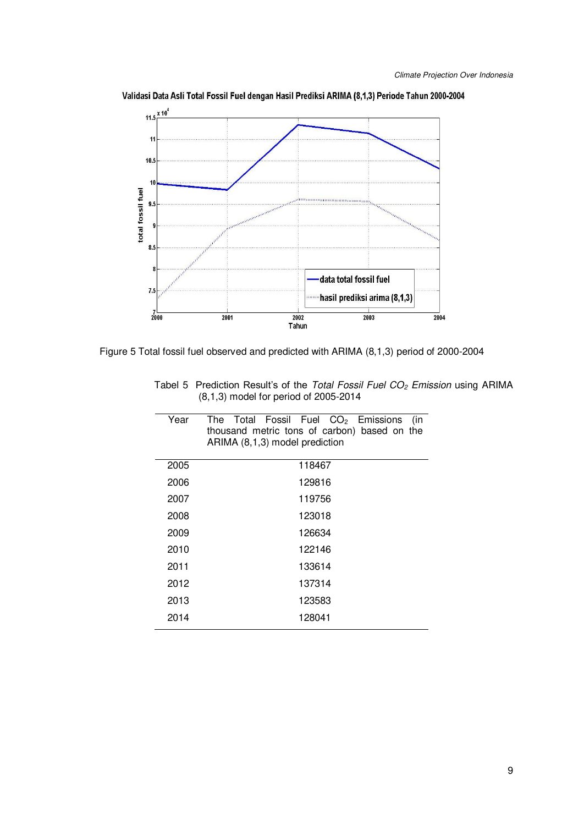

Validasi Data Asli Total Fossil Fuel dengan Hasil Prediksi ARIMA (8,1,3) Periode Tahun 2000-2004

Figure 5 Total fossil fuel observed and predicted with ARIMA (8,1,3) period of 2000-2004

| Year | The Total Fossil Fuel $CO2$ Emissions<br>(in<br>thousand metric tons of carbon) based on the<br>ARIMA (8,1,3) model prediction |
|------|--------------------------------------------------------------------------------------------------------------------------------|
| 2005 | 118467                                                                                                                         |
| 2006 | 129816                                                                                                                         |
| 2007 | 119756                                                                                                                         |
| 2008 | 123018                                                                                                                         |
| 2009 | 126634                                                                                                                         |
| 2010 | 122146                                                                                                                         |
| 2011 | 133614                                                                                                                         |
| 2012 | 137314                                                                                                                         |
| 2013 | 123583                                                                                                                         |
| 2014 | 128041                                                                                                                         |

Tabel 5Prediction Result's of the *Total Fossil Fuel CO2 Emission* using ARIMA (8,1,3) model for period of 2005-2014